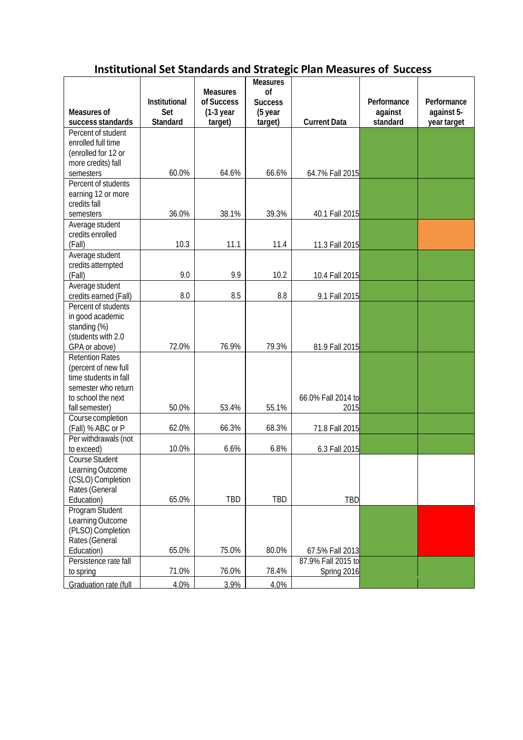## **Institutional Set Standards and Strategic Plan Measures of Success**

|                                    |                      |                               | <b>Measures</b>      |                                   |             |             |
|------------------------------------|----------------------|-------------------------------|----------------------|-----------------------------------|-------------|-------------|
|                                    | <b>Institutional</b> | <b>Measures</b><br>of Success | of<br><b>Success</b> |                                   | Performance | Performance |
| Measures of                        | Set                  | $(1-3)$ year                  | (5 year              |                                   | against     | against 5-  |
| success standards                  | Standard             | target)                       | target)              | <b>Current Data</b>               | standard    | year target |
| Percent of student                 |                      |                               |                      |                                   |             |             |
| enrolled full time                 |                      |                               |                      |                                   |             |             |
| (enrolled for 12 or                |                      |                               |                      |                                   |             |             |
| more credits) fall                 |                      |                               |                      |                                   |             |             |
| semesters                          | 60.0%                | 64.6%                         | 66.6%                | 64.7% Fall 2015                   |             |             |
| Percent of students                |                      |                               |                      |                                   |             |             |
| earning 12 or more                 |                      |                               |                      |                                   |             |             |
| credits fall<br>semesters          | 36.0%                | 38.1%                         | 39.3%                | 40.1 Fall 2015                    |             |             |
| Average student                    |                      |                               |                      |                                   |             |             |
| credits enrolled                   |                      |                               |                      |                                   |             |             |
| (Fall)                             | 10.3                 | 11.1                          | 11.4                 | 11.3 Fall 2015                    |             |             |
| Average student                    |                      |                               |                      |                                   |             |             |
| credits attempted                  |                      |                               |                      |                                   |             |             |
| (Fall)                             | 9.0                  | 9.9                           | 10.2                 | 10.4 Fall 2015                    |             |             |
| Average student                    |                      |                               |                      |                                   |             |             |
| credits earned (Fall)              | 8.0                  | 8.5                           | 8.8                  | 9.1 Fall 2015                     |             |             |
| Percent of students                |                      |                               |                      |                                   |             |             |
| in good academic                   |                      |                               |                      |                                   |             |             |
| standing (%)<br>(students with 2.0 |                      |                               |                      |                                   |             |             |
| GPA or above)                      | 72.0%                | 76.9%                         | 79.3%                | 81.9 Fall 2015                    |             |             |
| <b>Retention Rates</b>             |                      |                               |                      |                                   |             |             |
| (percent of new full               |                      |                               |                      |                                   |             |             |
| time students in fall              |                      |                               |                      |                                   |             |             |
| semester who return                |                      |                               |                      |                                   |             |             |
| to school the next                 |                      |                               |                      | 66.0% Fall 2014 to                |             |             |
| fall semester)                     | 50.0%                | 53.4%                         | 55.1%                | 2015                              |             |             |
| Course completion                  |                      |                               |                      |                                   |             |             |
| (Fall) % ABC or P                  | 62.0%                | 66.3%                         | 68.3%                | 71.8 Fall 2015                    |             |             |
| Per withdrawals (not<br>to exceed) | 10.0%                | 6.6%                          | 6.8%                 | 6.3 Fall 2015                     |             |             |
| Course Student                     |                      |                               |                      |                                   |             |             |
| Learning Outcome                   |                      |                               |                      |                                   |             |             |
| (CSLO) Completion                  |                      |                               |                      |                                   |             |             |
| Rates (General                     |                      |                               |                      |                                   |             |             |
| Education)                         | 65.0%                | <b>TBD</b>                    | TBD                  | <b>TBD</b>                        |             |             |
| Program Student                    |                      |                               |                      |                                   |             |             |
| Learning Outcome                   |                      |                               |                      |                                   |             |             |
| (PLSO) Completion                  |                      |                               |                      |                                   |             |             |
| Rates (General                     |                      |                               |                      |                                   |             |             |
| Education)                         | 65.0%                | 75.0%                         | 80.0%                | 67.5% Fall 2013                   |             |             |
| Persistence rate fall<br>to spring | 71.0%                | 76.0%                         | 78.4%                | 87.9% Fall 2015 to<br>Spring 2016 |             |             |
|                                    |                      |                               |                      |                                   |             |             |
| Graduation rate (full              | 4.0%                 | 3.9%                          | 4.0%                 |                                   |             |             |